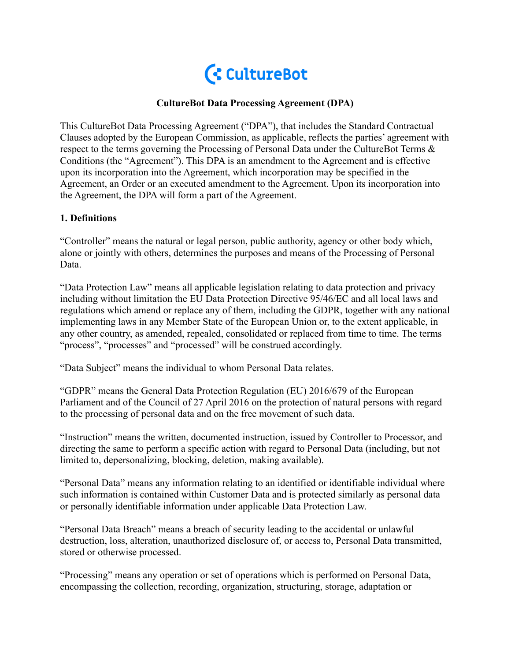

## **CultureBot Data Processing Agreement (DPA)**

This CultureBot Data Processing Agreement ("DPA"), that includes the Standard Contractual Clauses adopted by the European Commission, as applicable, reflects the parties' agreement with respect to the terms governing the Processing of Personal Data under the CultureBot Terms & Conditions (the "Agreement"). This DPA is an amendment to the Agreement and is effective upon its incorporation into the Agreement, which incorporation may be specified in the Agreement, an Order or an executed amendment to the Agreement. Upon its incorporation into the Agreement, the DPA will form a part of the Agreement.

## **1. Definitions**

"Controller" means the natural or legal person, public authority, agency or other body which, alone or jointly with others, determines the purposes and means of the Processing of Personal Data.

"Data Protection Law" means all applicable legislation relating to data protection and privacy including without limitation the EU Data Protection Directive 95/46/EC and all local laws and regulations which amend or replace any of them, including the GDPR, together with any national implementing laws in any Member State of the European Union or, to the extent applicable, in any other country, as amended, repealed, consolidated or replaced from time to time. The terms "process", "processes" and "processed" will be construed accordingly.

"Data Subject" means the individual to whom Personal Data relates.

"GDPR" means the General Data Protection Regulation (EU) 2016/679 of the European Parliament and of the Council of 27 April 2016 on the protection of natural persons with regard to the processing of personal data and on the free movement of such data.

"Instruction" means the written, documented instruction, issued by Controller to Processor, and directing the same to perform a specific action with regard to Personal Data (including, but not limited to, depersonalizing, blocking, deletion, making available).

"Personal Data" means any information relating to an identified or identifiable individual where such information is contained within Customer Data and is protected similarly as personal data or personally identifiable information under applicable Data Protection Law.

"Personal Data Breach" means a breach of security leading to the accidental or unlawful destruction, loss, alteration, unauthorized disclosure of, or access to, Personal Data transmitted, stored or otherwise processed.

"Processing" means any operation or set of operations which is performed on Personal Data, encompassing the collection, recording, organization, structuring, storage, adaptation or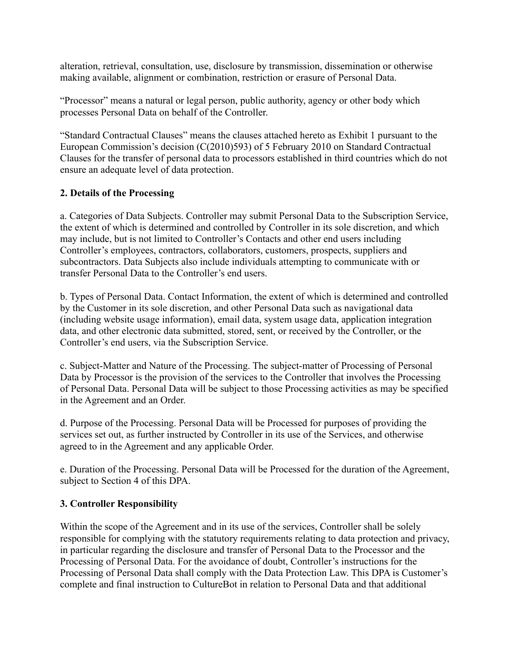alteration, retrieval, consultation, use, disclosure by transmission, dissemination or otherwise making available, alignment or combination, restriction or erasure of Personal Data.

"Processor" means a natural or legal person, public authority, agency or other body which processes Personal Data on behalf of the Controller.

"Standard Contractual Clauses" means the clauses attached hereto as Exhibit 1 pursuant to the European Commission's decision (C(2010)593) of 5 February 2010 on Standard Contractual Clauses for the transfer of personal data to processors established in third countries which do not ensure an adequate level of data protection.

## **2. Details of the Processing**

a. Categories of Data Subjects. Controller may submit Personal Data to the Subscription Service, the extent of which is determined and controlled by Controller in its sole discretion, and which may include, but is not limited to Controller's Contacts and other end users including Controller's employees, contractors, collaborators, customers, prospects, suppliers and subcontractors. Data Subjects also include individuals attempting to communicate with or transfer Personal Data to the Controller's end users.

b. Types of Personal Data. Contact Information, the extent of which is determined and controlled by the Customer in its sole discretion, and other Personal Data such as navigational data (including website usage information), email data, system usage data, application integration data, and other electronic data submitted, stored, sent, or received by the Controller, or the Controller's end users, via the Subscription Service.

c. Subject-Matter and Nature of the Processing. The subject-matter of Processing of Personal Data by Processor is the provision of the services to the Controller that involves the Processing of Personal Data. Personal Data will be subject to those Processing activities as may be specified in the Agreement and an Order.

d. Purpose of the Processing. Personal Data will be Processed for purposes of providing the services set out, as further instructed by Controller in its use of the Services, and otherwise agreed to in the Agreement and any applicable Order.

e. Duration of the Processing. Personal Data will be Processed for the duration of the Agreement, subject to Section 4 of this DPA.

## **3. Controller Responsibility**

Within the scope of the Agreement and in its use of the services, Controller shall be solely responsible for complying with the statutory requirements relating to data protection and privacy, in particular regarding the disclosure and transfer of Personal Data to the Processor and the Processing of Personal Data. For the avoidance of doubt, Controller's instructions for the Processing of Personal Data shall comply with the Data Protection Law. This DPA is Customer's complete and final instruction to CultureBot in relation to Personal Data and that additional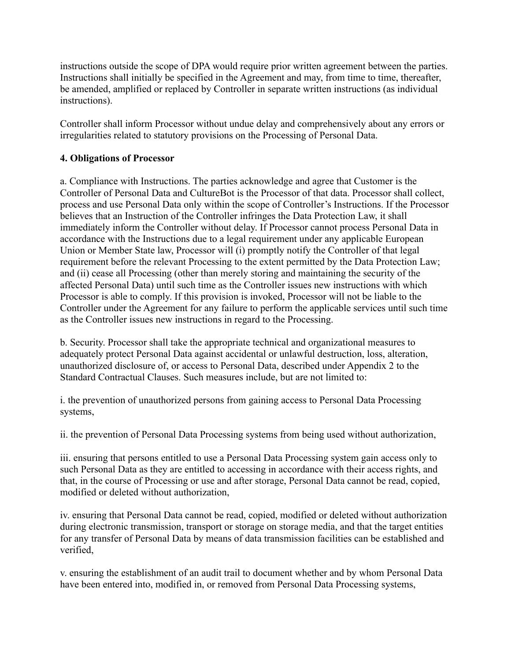instructions outside the scope of DPA would require prior written agreement between the parties. Instructions shall initially be specified in the Agreement and may, from time to time, thereafter, be amended, amplified or replaced by Controller in separate written instructions (as individual instructions).

Controller shall inform Processor without undue delay and comprehensively about any errors or irregularities related to statutory provisions on the Processing of Personal Data.

### **4. Obligations of Processor**

a. Compliance with Instructions. The parties acknowledge and agree that Customer is the Controller of Personal Data and CultureBot is the Processor of that data. Processor shall collect, process and use Personal Data only within the scope of Controller's Instructions. If the Processor believes that an Instruction of the Controller infringes the Data Protection Law, it shall immediately inform the Controller without delay. If Processor cannot process Personal Data in accordance with the Instructions due to a legal requirement under any applicable European Union or Member State law, Processor will (i) promptly notify the Controller of that legal requirement before the relevant Processing to the extent permitted by the Data Protection Law; and (ii) cease all Processing (other than merely storing and maintaining the security of the affected Personal Data) until such time as the Controller issues new instructions with which Processor is able to comply. If this provision is invoked, Processor will not be liable to the Controller under the Agreement for any failure to perform the applicable services until such time as the Controller issues new instructions in regard to the Processing.

b. Security. Processor shall take the appropriate technical and organizational measures to adequately protect Personal Data against accidental or unlawful destruction, loss, alteration, unauthorized disclosure of, or access to Personal Data, described under Appendix 2 to the Standard Contractual Clauses. Such measures include, but are not limited to:

i. the prevention of unauthorized persons from gaining access to Personal Data Processing systems,

ii. the prevention of Personal Data Processing systems from being used without authorization,

iii. ensuring that persons entitled to use a Personal Data Processing system gain access only to such Personal Data as they are entitled to accessing in accordance with their access rights, and that, in the course of Processing or use and after storage, Personal Data cannot be read, copied, modified or deleted without authorization,

iv. ensuring that Personal Data cannot be read, copied, modified or deleted without authorization during electronic transmission, transport or storage on storage media, and that the target entities for any transfer of Personal Data by means of data transmission facilities can be established and verified,

v. ensuring the establishment of an audit trail to document whether and by whom Personal Data have been entered into, modified in, or removed from Personal Data Processing systems,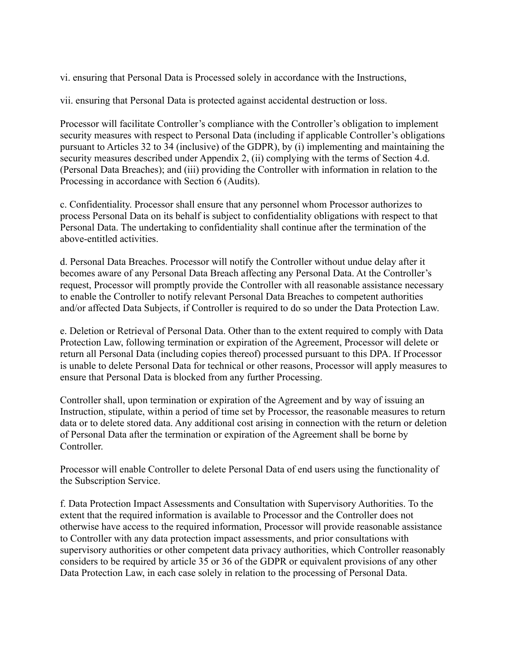vi. ensuring that Personal Data is Processed solely in accordance with the Instructions,

vii. ensuring that Personal Data is protected against accidental destruction or loss.

Processor will facilitate Controller's compliance with the Controller's obligation to implement security measures with respect to Personal Data (including if applicable Controller's obligations pursuant to Articles 32 to 34 (inclusive) of the GDPR), by (i) implementing and maintaining the security measures described under Appendix 2, (ii) complying with the terms of Section 4.d. (Personal Data Breaches); and (iii) providing the Controller with information in relation to the Processing in accordance with Section 6 (Audits).

c. Confidentiality. Processor shall ensure that any personnel whom Processor authorizes to process Personal Data on its behalf is subject to confidentiality obligations with respect to that Personal Data. The undertaking to confidentiality shall continue after the termination of the above-entitled activities.

d. Personal Data Breaches. Processor will notify the Controller without undue delay after it becomes aware of any Personal Data Breach affecting any Personal Data. At the Controller's request, Processor will promptly provide the Controller with all reasonable assistance necessary to enable the Controller to notify relevant Personal Data Breaches to competent authorities and/or affected Data Subjects, if Controller is required to do so under the Data Protection Law.

e. Deletion or Retrieval of Personal Data. Other than to the extent required to comply with Data Protection Law, following termination or expiration of the Agreement, Processor will delete or return all Personal Data (including copies thereof) processed pursuant to this DPA. If Processor is unable to delete Personal Data for technical or other reasons, Processor will apply measures to ensure that Personal Data is blocked from any further Processing.

Controller shall, upon termination or expiration of the Agreement and by way of issuing an Instruction, stipulate, within a period of time set by Processor, the reasonable measures to return data or to delete stored data. Any additional cost arising in connection with the return or deletion of Personal Data after the termination or expiration of the Agreement shall be borne by **Controller** 

Processor will enable Controller to delete Personal Data of end users using the functionality of the Subscription Service.

f. Data Protection Impact Assessments and Consultation with Supervisory Authorities. To the extent that the required information is available to Processor and the Controller does not otherwise have access to the required information, Processor will provide reasonable assistance to Controller with any data protection impact assessments, and prior consultations with supervisory authorities or other competent data privacy authorities, which Controller reasonably considers to be required by article 35 or 36 of the GDPR or equivalent provisions of any other Data Protection Law, in each case solely in relation to the processing of Personal Data.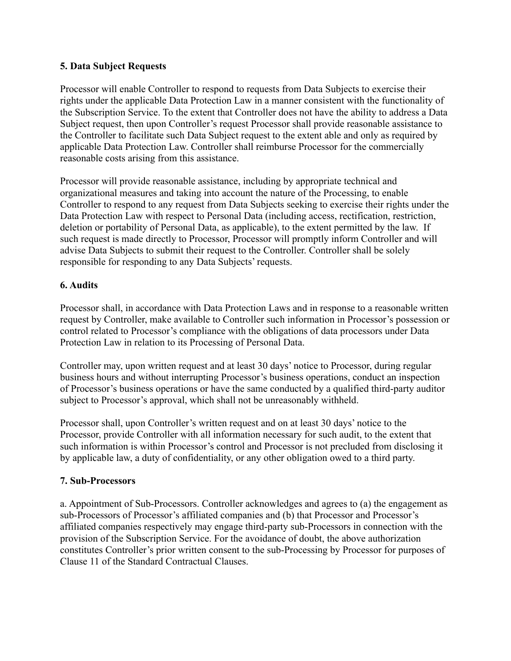## **5. Data Subject Requests**

Processor will enable Controller to respond to requests from Data Subjects to exercise their rights under the applicable Data Protection Law in a manner consistent with the functionality of the Subscription Service. To the extent that Controller does not have the ability to address a Data Subject request, then upon Controller's request Processor shall provide reasonable assistance to the Controller to facilitate such Data Subject request to the extent able and only as required by applicable Data Protection Law. Controller shall reimburse Processor for the commercially reasonable costs arising from this assistance.

Processor will provide reasonable assistance, including by appropriate technical and organizational measures and taking into account the nature of the Processing, to enable Controller to respond to any request from Data Subjects seeking to exercise their rights under the Data Protection Law with respect to Personal Data (including access, rectification, restriction, deletion or portability of Personal Data, as applicable), to the extent permitted by the law. If such request is made directly to Processor, Processor will promptly inform Controller and will advise Data Subjects to submit their request to the Controller. Controller shall be solely responsible for responding to any Data Subjects' requests.

## **6. Audits**

Processor shall, in accordance with Data Protection Laws and in response to a reasonable written request by Controller, make available to Controller such information in Processor's possession or control related to Processor's compliance with the obligations of data processors under Data Protection Law in relation to its Processing of Personal Data.

Controller may, upon written request and at least 30 days' notice to Processor, during regular business hours and without interrupting Processor's business operations, conduct an inspection of Processor's business operations or have the same conducted by a qualified third-party auditor subject to Processor's approval, which shall not be unreasonably withheld.

Processor shall, upon Controller's written request and on at least 30 days' notice to the Processor, provide Controller with all information necessary for such audit, to the extent that such information is within Processor's control and Processor is not precluded from disclosing it by applicable law, a duty of confidentiality, or any other obligation owed to a third party.

## **7. Sub-Processors**

a. Appointment of Sub-Processors. Controller acknowledges and agrees to (a) the engagement as sub-Processors of Processor's affiliated companies and (b) that Processor and Processor's affiliated companies respectively may engage third-party sub-Processors in connection with the provision of the Subscription Service. For the avoidance of doubt, the above authorization constitutes Controller's prior written consent to the sub-Processing by Processor for purposes of Clause 11 of the Standard Contractual Clauses.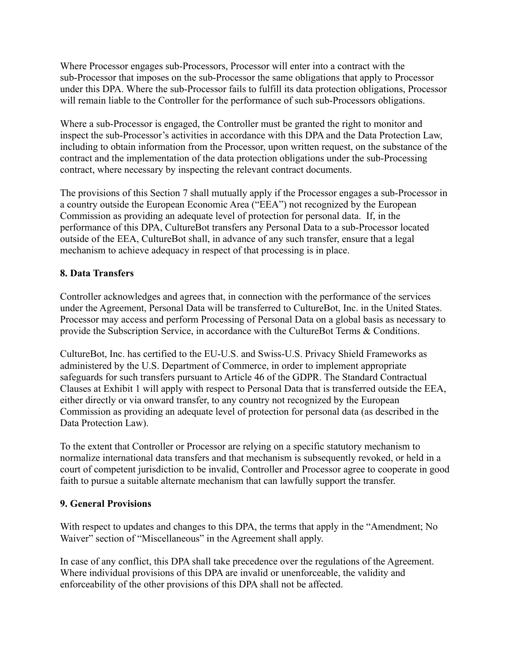Where Processor engages sub-Processors, Processor will enter into a contract with the sub-Processor that imposes on the sub-Processor the same obligations that apply to Processor under this DPA. Where the sub-Processor fails to fulfill its data protection obligations, Processor will remain liable to the Controller for the performance of such sub-Processors obligations.

Where a sub-Processor is engaged, the Controller must be granted the right to monitor and inspect the sub-Processor's activities in accordance with this DPA and the Data Protection Law, including to obtain information from the Processor, upon written request, on the substance of the contract and the implementation of the data protection obligations under the sub-Processing contract, where necessary by inspecting the relevant contract documents.

The provisions of this Section 7 shall mutually apply if the Processor engages a sub-Processor in a country outside the European Economic Area ("EEA") not recognized by the European Commission as providing an adequate level of protection for personal data. If, in the performance of this DPA, CultureBot transfers any Personal Data to a sub-Processor located outside of the EEA, CultureBot shall, in advance of any such transfer, ensure that a legal mechanism to achieve adequacy in respect of that processing is in place.

## **8. Data Transfers**

Controller acknowledges and agrees that, in connection with the performance of the services under the Agreement, Personal Data will be transferred to CultureBot, Inc. in the United States. Processor may access and perform Processing of Personal Data on a global basis as necessary to provide the Subscription Service, in accordance with the CultureBot Terms & Conditions.

CultureBot, Inc. has certified to the EU-U.S. and Swiss-U.S. Privacy Shield Frameworks as administered by the U.S. Department of Commerce, in order to implement appropriate safeguards for such transfers pursuant to Article 46 of the GDPR. The Standard Contractual Clauses at Exhibit 1 will apply with respect to Personal Data that is transferred outside the EEA, either directly or via onward transfer, to any country not recognized by the European Commission as providing an adequate level of protection for personal data (as described in the Data Protection Law).

To the extent that Controller or Processor are relying on a specific statutory mechanism to normalize international data transfers and that mechanism is subsequently revoked, or held in a court of competent jurisdiction to be invalid, Controller and Processor agree to cooperate in good faith to pursue a suitable alternate mechanism that can lawfully support the transfer.

## **9. General Provisions**

With respect to updates and changes to this DPA, the terms that apply in the "Amendment; No Waiver" section of "Miscellaneous" in the Agreement shall apply.

In case of any conflict, this DPA shall take precedence over the regulations of the Agreement. Where individual provisions of this DPA are invalid or unenforceable, the validity and enforceability of the other provisions of this DPA shall not be affected.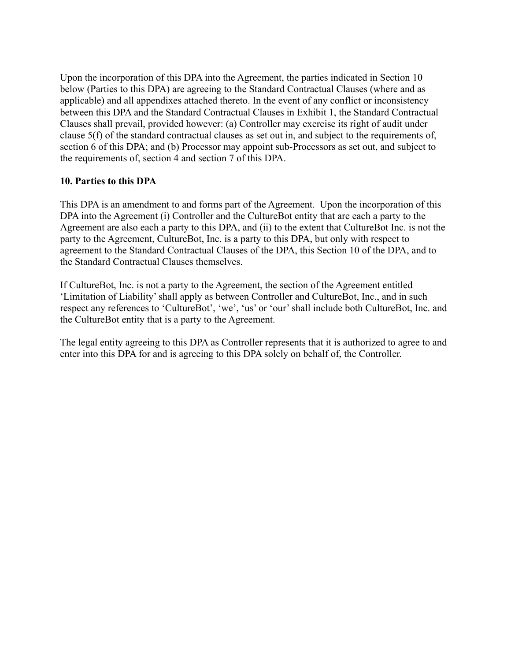Upon the incorporation of this DPA into the Agreement, the parties indicated in Section 10 below (Parties to this DPA) are agreeing to the Standard Contractual Clauses (where and as applicable) and all appendixes attached thereto. In the event of any conflict or inconsistency between this DPA and the Standard Contractual Clauses in Exhibit 1, the Standard Contractual Clauses shall prevail, provided however: (a) Controller may exercise its right of audit under clause 5(f) of the standard contractual clauses as set out in, and subject to the requirements of, section 6 of this DPA; and (b) Processor may appoint sub-Processors as set out, and subject to the requirements of, section 4 and section 7 of this DPA.

## **10. Parties to this DPA**

This DPA is an amendment to and forms part of the Agreement. Upon the incorporation of this DPA into the Agreement (i) Controller and the CultureBot entity that are each a party to the Agreement are also each a party to this DPA, and (ii) to the extent that CultureBot Inc. is not the party to the Agreement, CultureBot, Inc. is a party to this DPA, but only with respect to agreement to the Standard Contractual Clauses of the DPA, this Section 10 of the DPA, and to the Standard Contractual Clauses themselves.

If CultureBot, Inc. is not a party to the Agreement, the section of the Agreement entitled 'Limitation of Liability' shall apply as between Controller and CultureBot, Inc., and in such respect any references to 'CultureBot', 'we', 'us' or 'our' shall include both CultureBot, Inc. and the CultureBot entity that is a party to the Agreement.

The legal entity agreeing to this DPA as Controller represents that it is authorized to agree to and enter into this DPA for and is agreeing to this DPA solely on behalf of, the Controller.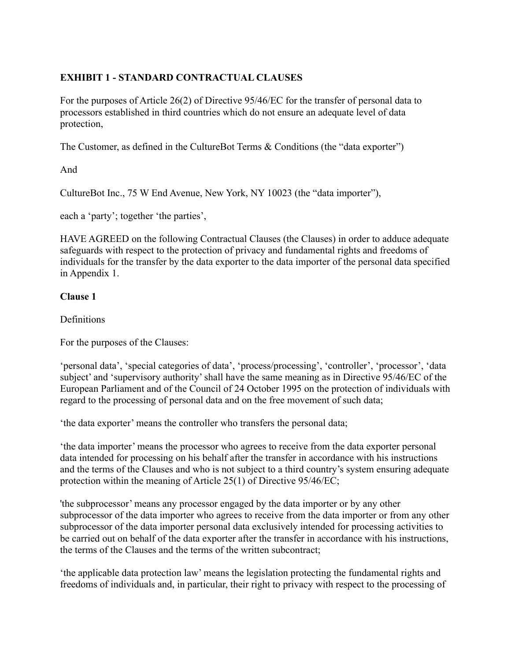# **EXHIBIT 1 - STANDARD CONTRACTUAL CLAUSES**

For the purposes of Article 26(2) of Directive 95/46/EC for the transfer of personal data to processors established in third countries which do not ensure an adequate level of data protection,

The Customer, as defined in the CultureBot Terms & Conditions (the "data exporter")

And

CultureBot Inc., 75 W End Avenue, New York, NY 10023 (the "data importer"),

each a 'party'; together 'the parties',

HAVE AGREED on the following Contractual Clauses (the Clauses) in order to adduce adequate safeguards with respect to the protection of privacy and fundamental rights and freedoms of individuals for the transfer by the data exporter to the data importer of the personal data specified in Appendix 1.

## **Clause 1**

**Definitions** 

For the purposes of the Clauses:

'personal data', 'special categories of data', 'process/processing', 'controller', 'processor', 'data subject' and 'supervisory authority' shall have the same meaning as in Directive 95/46/EC of the European Parliament and of the Council of 24 October 1995 on the protection of individuals with regard to the processing of personal data and on the free movement of such data;

'the data exporter' means the controller who transfers the personal data;

'the data importer' means the processor who agrees to receive from the data exporter personal data intended for processing on his behalf after the transfer in accordance with his instructions and the terms of the Clauses and who is not subject to a third country's system ensuring adequate protection within the meaning of Article 25(1) of Directive 95/46/EC;

'the subprocessor' means any processor engaged by the data importer or by any other subprocessor of the data importer who agrees to receive from the data importer or from any other subprocessor of the data importer personal data exclusively intended for processing activities to be carried out on behalf of the data exporter after the transfer in accordance with his instructions, the terms of the Clauses and the terms of the written subcontract;

'the applicable data protection law' means the legislation protecting the fundamental rights and freedoms of individuals and, in particular, their right to privacy with respect to the processing of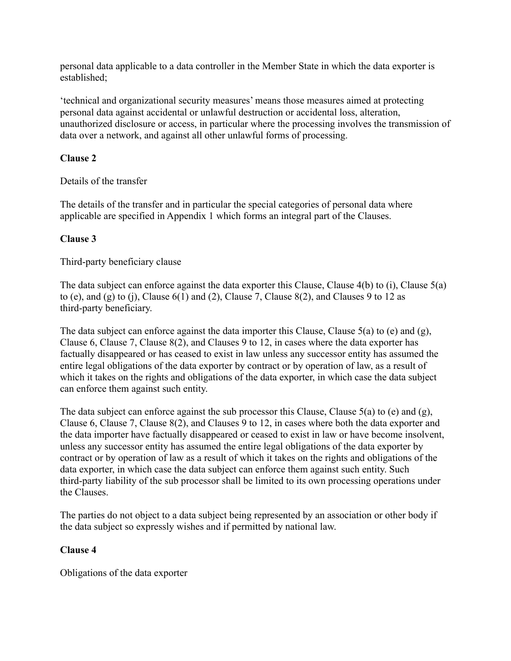personal data applicable to a data controller in the Member State in which the data exporter is established;

'technical and organizational security measures' means those measures aimed at protecting personal data against accidental or unlawful destruction or accidental loss, alteration, unauthorized disclosure or access, in particular where the processing involves the transmission of data over a network, and against all other unlawful forms of processing.

## **Clause 2**

Details of the transfer

The details of the transfer and in particular the special categories of personal data where applicable are specified in Appendix 1 which forms an integral part of the Clauses.

#### **Clause 3**

Third-party beneficiary clause

The data subject can enforce against the data exporter this Clause, Clause 4(b) to (i), Clause 5(a) to (e), and (g) to (j), Clause  $6(1)$  and (2), Clause 7, Clause  $8(2)$ , and Clauses 9 to 12 as third-party beneficiary.

The data subject can enforce against the data importer this Clause, Clause 5(a) to (e) and (g), Clause 6, Clause 7, Clause 8(2), and Clauses 9 to 12, in cases where the data exporter has factually disappeared or has ceased to exist in law unless any successor entity has assumed the entire legal obligations of the data exporter by contract or by operation of law, as a result of which it takes on the rights and obligations of the data exporter, in which case the data subject can enforce them against such entity.

The data subject can enforce against the sub processor this Clause, Clause  $5(a)$  to (e) and (g), Clause 6, Clause 7, Clause 8(2), and Clauses 9 to 12, in cases where both the data exporter and the data importer have factually disappeared or ceased to exist in law or have become insolvent, unless any successor entity has assumed the entire legal obligations of the data exporter by contract or by operation of law as a result of which it takes on the rights and obligations of the data exporter, in which case the data subject can enforce them against such entity. Such third-party liability of the sub processor shall be limited to its own processing operations under the Clauses.

The parties do not object to a data subject being represented by an association or other body if the data subject so expressly wishes and if permitted by national law.

## **Clause 4**

Obligations of the data exporter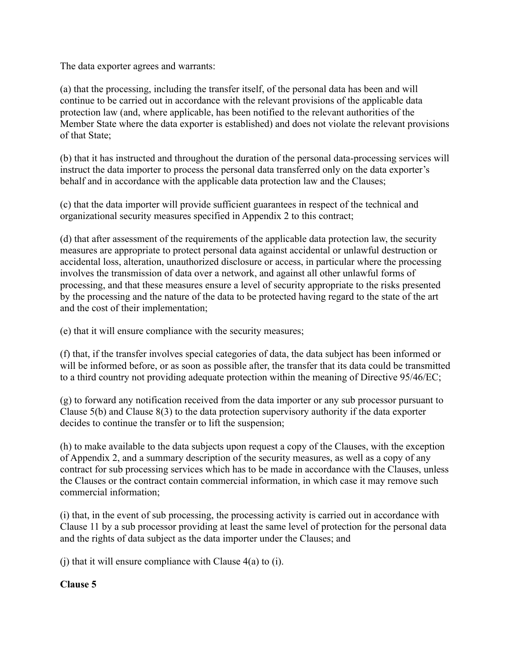The data exporter agrees and warrants:

(a) that the processing, including the transfer itself, of the personal data has been and will continue to be carried out in accordance with the relevant provisions of the applicable data protection law (and, where applicable, has been notified to the relevant authorities of the Member State where the data exporter is established) and does not violate the relevant provisions of that State;

(b) that it has instructed and throughout the duration of the personal data-processing services will instruct the data importer to process the personal data transferred only on the data exporter's behalf and in accordance with the applicable data protection law and the Clauses;

(c) that the data importer will provide sufficient guarantees in respect of the technical and organizational security measures specified in Appendix 2 to this contract;

(d) that after assessment of the requirements of the applicable data protection law, the security measures are appropriate to protect personal data against accidental or unlawful destruction or accidental loss, alteration, unauthorized disclosure or access, in particular where the processing involves the transmission of data over a network, and against all other unlawful forms of processing, and that these measures ensure a level of security appropriate to the risks presented by the processing and the nature of the data to be protected having regard to the state of the art and the cost of their implementation;

(e) that it will ensure compliance with the security measures;

(f) that, if the transfer involves special categories of data, the data subject has been informed or will be informed before, or as soon as possible after, the transfer that its data could be transmitted to a third country not providing adequate protection within the meaning of Directive 95/46/EC;

(g) to forward any notification received from the data importer or any sub processor pursuant to Clause 5(b) and Clause 8(3) to the data protection supervisory authority if the data exporter decides to continue the transfer or to lift the suspension;

(h) to make available to the data subjects upon request a copy of the Clauses, with the exception of Appendix 2, and a summary description of the security measures, as well as a copy of any contract for sub processing services which has to be made in accordance with the Clauses, unless the Clauses or the contract contain commercial information, in which case it may remove such commercial information;

(i) that, in the event of sub processing, the processing activity is carried out in accordance with Clause 11 by a sub processor providing at least the same level of protection for the personal data and the rights of data subject as the data importer under the Clauses; and

(j) that it will ensure compliance with Clause 4(a) to (i).

## **Clause 5**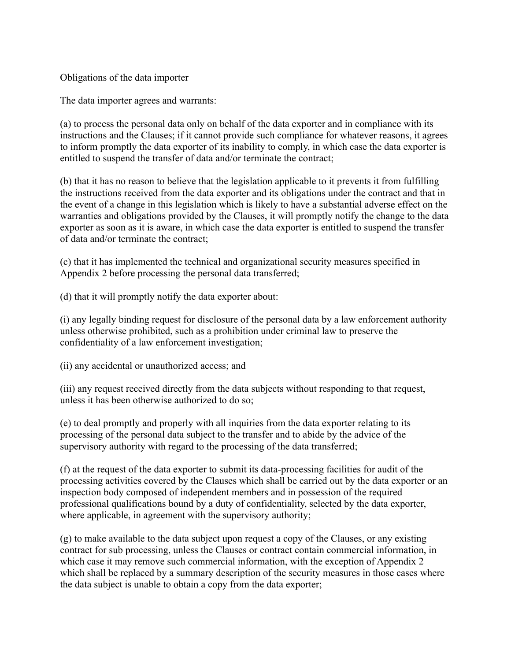Obligations of the data importer

The data importer agrees and warrants:

(a) to process the personal data only on behalf of the data exporter and in compliance with its instructions and the Clauses; if it cannot provide such compliance for whatever reasons, it agrees to inform promptly the data exporter of its inability to comply, in which case the data exporter is entitled to suspend the transfer of data and/or terminate the contract;

(b) that it has no reason to believe that the legislation applicable to it prevents it from fulfilling the instructions received from the data exporter and its obligations under the contract and that in the event of a change in this legislation which is likely to have a substantial adverse effect on the warranties and obligations provided by the Clauses, it will promptly notify the change to the data exporter as soon as it is aware, in which case the data exporter is entitled to suspend the transfer of data and/or terminate the contract;

(c) that it has implemented the technical and organizational security measures specified in Appendix 2 before processing the personal data transferred;

(d) that it will promptly notify the data exporter about:

(i) any legally binding request for disclosure of the personal data by a law enforcement authority unless otherwise prohibited, such as a prohibition under criminal law to preserve the confidentiality of a law enforcement investigation;

(ii) any accidental or unauthorized access; and

(iii) any request received directly from the data subjects without responding to that request, unless it has been otherwise authorized to do so;

(e) to deal promptly and properly with all inquiries from the data exporter relating to its processing of the personal data subject to the transfer and to abide by the advice of the supervisory authority with regard to the processing of the data transferred;

(f) at the request of the data exporter to submit its data-processing facilities for audit of the processing activities covered by the Clauses which shall be carried out by the data exporter or an inspection body composed of independent members and in possession of the required professional qualifications bound by a duty of confidentiality, selected by the data exporter, where applicable, in agreement with the supervisory authority;

(g) to make available to the data subject upon request a copy of the Clauses, or any existing contract for sub processing, unless the Clauses or contract contain commercial information, in which case it may remove such commercial information, with the exception of Appendix 2 which shall be replaced by a summary description of the security measures in those cases where the data subject is unable to obtain a copy from the data exporter;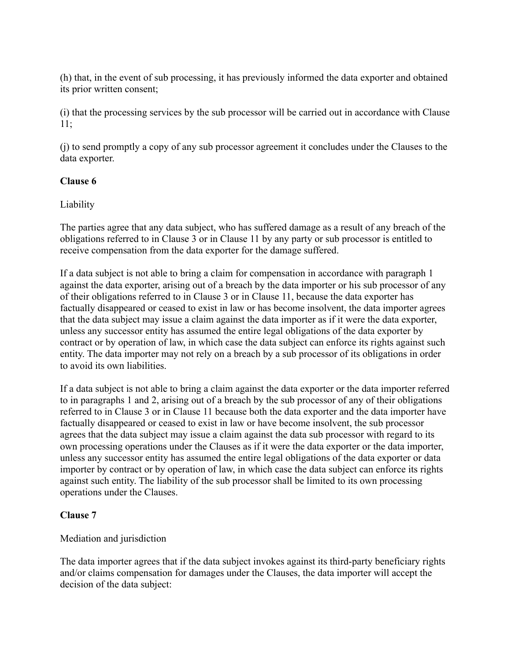(h) that, in the event of sub processing, it has previously informed the data exporter and obtained its prior written consent;

(i) that the processing services by the sub processor will be carried out in accordance with Clause 11;

(j) to send promptly a copy of any sub processor agreement it concludes under the Clauses to the data exporter.

## **Clause 6**

Liability

The parties agree that any data subject, who has suffered damage as a result of any breach of the obligations referred to in Clause 3 or in Clause 11 by any party or sub processor is entitled to receive compensation from the data exporter for the damage suffered.

If a data subject is not able to bring a claim for compensation in accordance with paragraph 1 against the data exporter, arising out of a breach by the data importer or his sub processor of any of their obligations referred to in Clause 3 or in Clause 11, because the data exporter has factually disappeared or ceased to exist in law or has become insolvent, the data importer agrees that the data subject may issue a claim against the data importer as if it were the data exporter, unless any successor entity has assumed the entire legal obligations of the data exporter by contract or by operation of law, in which case the data subject can enforce its rights against such entity. The data importer may not rely on a breach by a sub processor of its obligations in order to avoid its own liabilities.

If a data subject is not able to bring a claim against the data exporter or the data importer referred to in paragraphs 1 and 2, arising out of a breach by the sub processor of any of their obligations referred to in Clause 3 or in Clause 11 because both the data exporter and the data importer have factually disappeared or ceased to exist in law or have become insolvent, the sub processor agrees that the data subject may issue a claim against the data sub processor with regard to its own processing operations under the Clauses as if it were the data exporter or the data importer, unless any successor entity has assumed the entire legal obligations of the data exporter or data importer by contract or by operation of law, in which case the data subject can enforce its rights against such entity. The liability of the sub processor shall be limited to its own processing operations under the Clauses.

## **Clause 7**

Mediation and jurisdiction

The data importer agrees that if the data subject invokes against its third-party beneficiary rights and/or claims compensation for damages under the Clauses, the data importer will accept the decision of the data subject: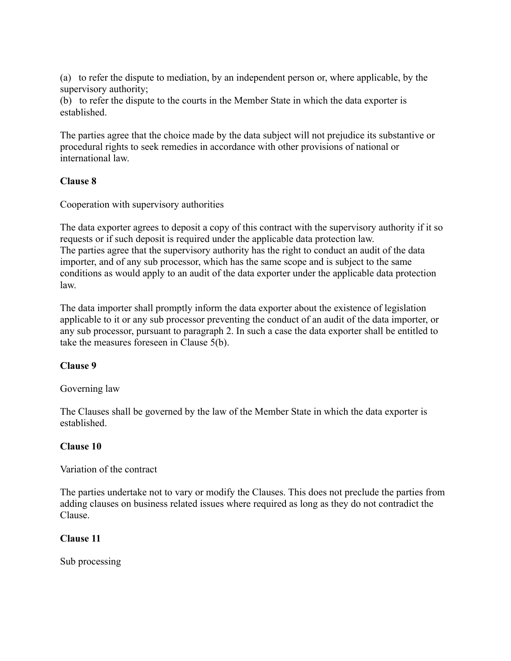(a) to refer the dispute to mediation, by an independent person or, where applicable, by the supervisory authority;

(b) to refer the dispute to the courts in the Member State in which the data exporter is established.

The parties agree that the choice made by the data subject will not prejudice its substantive or procedural rights to seek remedies in accordance with other provisions of national or international law.

## **Clause 8**

Cooperation with supervisory authorities

The data exporter agrees to deposit a copy of this contract with the supervisory authority if it so requests or if such deposit is required under the applicable data protection law. The parties agree that the supervisory authority has the right to conduct an audit of the data importer, and of any sub processor, which has the same scope and is subject to the same conditions as would apply to an audit of the data exporter under the applicable data protection law.

The data importer shall promptly inform the data exporter about the existence of legislation applicable to it or any sub processor preventing the conduct of an audit of the data importer, or any sub processor, pursuant to paragraph 2. In such a case the data exporter shall be entitled to take the measures foreseen in Clause 5(b).

# **Clause 9**

## Governing law

The Clauses shall be governed by the law of the Member State in which the data exporter is established.

## **Clause 10**

Variation of the contract

The parties undertake not to vary or modify the Clauses. This does not preclude the parties from adding clauses on business related issues where required as long as they do not contradict the Clause.

## **Clause 11**

Sub processing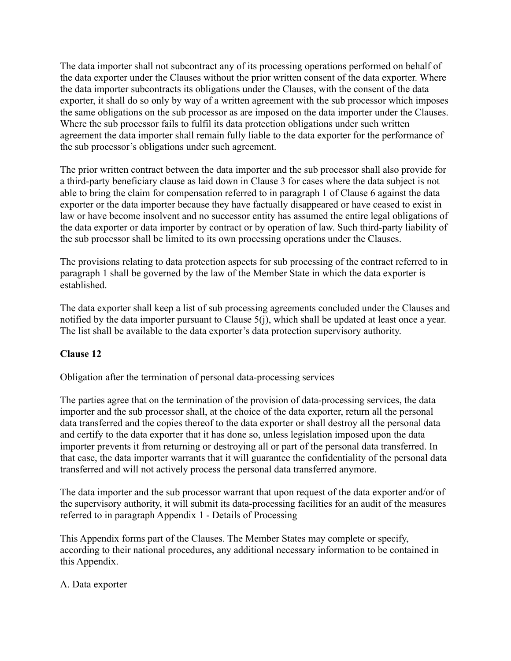The data importer shall not subcontract any of its processing operations performed on behalf of the data exporter under the Clauses without the prior written consent of the data exporter. Where the data importer subcontracts its obligations under the Clauses, with the consent of the data exporter, it shall do so only by way of a written agreement with the sub processor which imposes the same obligations on the sub processor as are imposed on the data importer under the Clauses. Where the sub processor fails to fulfil its data protection obligations under such written agreement the data importer shall remain fully liable to the data exporter for the performance of the sub processor's obligations under such agreement.

The prior written contract between the data importer and the sub processor shall also provide for a third-party beneficiary clause as laid down in Clause 3 for cases where the data subject is not able to bring the claim for compensation referred to in paragraph 1 of Clause 6 against the data exporter or the data importer because they have factually disappeared or have ceased to exist in law or have become insolvent and no successor entity has assumed the entire legal obligations of the data exporter or data importer by contract or by operation of law. Such third-party liability of the sub processor shall be limited to its own processing operations under the Clauses.

The provisions relating to data protection aspects for sub processing of the contract referred to in paragraph 1 shall be governed by the law of the Member State in which the data exporter is established.

The data exporter shall keep a list of sub processing agreements concluded under the Clauses and notified by the data importer pursuant to Clause 5(j), which shall be updated at least once a year. The list shall be available to the data exporter's data protection supervisory authority.

## **Clause 12**

Obligation after the termination of personal data-processing services

The parties agree that on the termination of the provision of data-processing services, the data importer and the sub processor shall, at the choice of the data exporter, return all the personal data transferred and the copies thereof to the data exporter or shall destroy all the personal data and certify to the data exporter that it has done so, unless legislation imposed upon the data importer prevents it from returning or destroying all or part of the personal data transferred. In that case, the data importer warrants that it will guarantee the confidentiality of the personal data transferred and will not actively process the personal data transferred anymore.

The data importer and the sub processor warrant that upon request of the data exporter and/or of the supervisory authority, it will submit its data-processing facilities for an audit of the measures referred to in paragraph Appendix 1 - Details of Processing

This Appendix forms part of the Clauses. The Member States may complete or specify, according to their national procedures, any additional necessary information to be contained in this Appendix.

#### A. Data exporter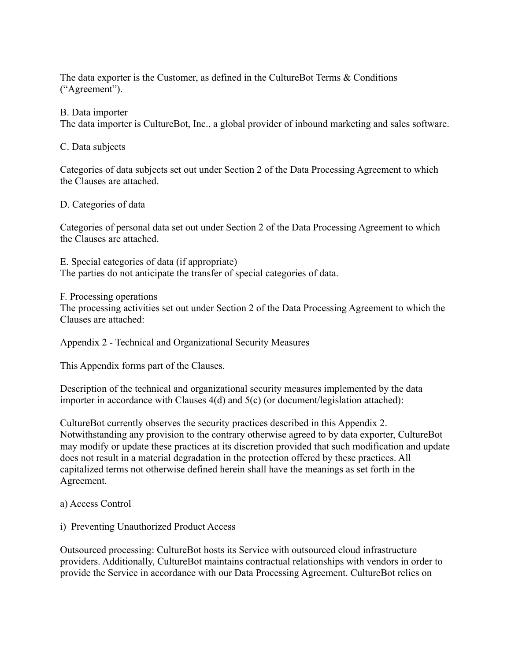The data exporter is the Customer, as defined in the CultureBot Terms & Conditions ("Agreement").

#### B. Data importer

The data importer is CultureBot, Inc., a global provider of inbound marketing and sales software.

C. Data subjects

Categories of data subjects set out under Section 2 of the Data Processing Agreement to which the Clauses are attached.

#### D. Categories of data

Categories of personal data set out under Section 2 of the Data Processing Agreement to which the Clauses are attached.

E. Special categories of data (if appropriate) The parties do not anticipate the transfer of special categories of data.

F. Processing operations

The processing activities set out under Section 2 of the Data Processing Agreement to which the Clauses are attached:

Appendix 2 - Technical and Organizational Security Measures

This Appendix forms part of the Clauses.

Description of the technical and organizational security measures implemented by the data importer in accordance with Clauses 4(d) and 5(c) (or document/legislation attached):

CultureBot currently observes the security practices described in this Appendix 2. Notwithstanding any provision to the contrary otherwise agreed to by data exporter, CultureBot may modify or update these practices at its discretion provided that such modification and update does not result in a material degradation in the protection offered by these practices. All capitalized terms not otherwise defined herein shall have the meanings as set forth in the Agreement.

- a) Access Control
- i) Preventing Unauthorized Product Access

Outsourced processing: CultureBot hosts its Service with outsourced cloud infrastructure providers. Additionally, CultureBot maintains contractual relationships with vendors in order to provide the Service in accordance with our Data Processing Agreement. CultureBot relies on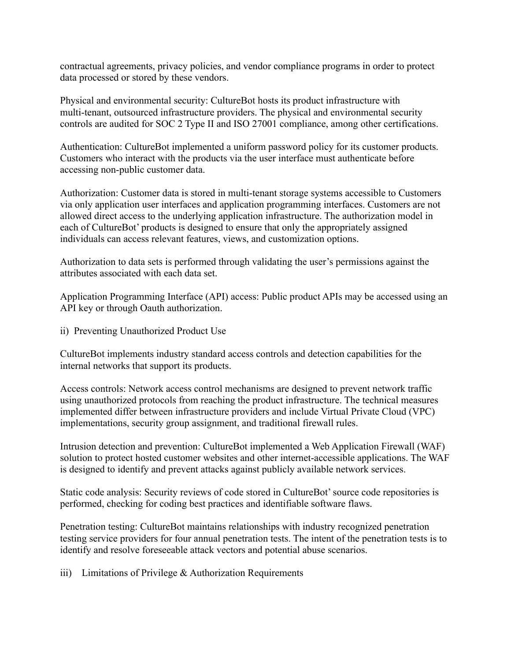contractual agreements, privacy policies, and vendor compliance programs in order to protect data processed or stored by these vendors.

Physical and environmental security: CultureBot hosts its product infrastructure with multi-tenant, outsourced infrastructure providers. The physical and environmental security controls are audited for SOC 2 Type II and ISO 27001 compliance, among other certifications.

Authentication: CultureBot implemented a uniform password policy for its customer products. Customers who interact with the products via the user interface must authenticate before accessing non-public customer data.

Authorization: Customer data is stored in multi-tenant storage systems accessible to Customers via only application user interfaces and application programming interfaces. Customers are not allowed direct access to the underlying application infrastructure. The authorization model in each of CultureBot' products is designed to ensure that only the appropriately assigned individuals can access relevant features, views, and customization options.

Authorization to data sets is performed through validating the user's permissions against the attributes associated with each data set.

Application Programming Interface (API) access: Public product APIs may be accessed using an API key or through Oauth authorization.

ii) Preventing Unauthorized Product Use

CultureBot implements industry standard access controls and detection capabilities for the internal networks that support its products.

Access controls: Network access control mechanisms are designed to prevent network traffic using unauthorized protocols from reaching the product infrastructure. The technical measures implemented differ between infrastructure providers and include Virtual Private Cloud (VPC) implementations, security group assignment, and traditional firewall rules.

Intrusion detection and prevention: CultureBot implemented a Web Application Firewall (WAF) solution to protect hosted customer websites and other internet-accessible applications. The WAF is designed to identify and prevent attacks against publicly available network services.

Static code analysis: Security reviews of code stored in CultureBot' source code repositories is performed, checking for coding best practices and identifiable software flaws.

Penetration testing: CultureBot maintains relationships with industry recognized penetration testing service providers for four annual penetration tests. The intent of the penetration tests is to identify and resolve foreseeable attack vectors and potential abuse scenarios.

iii) Limitations of Privilege & Authorization Requirements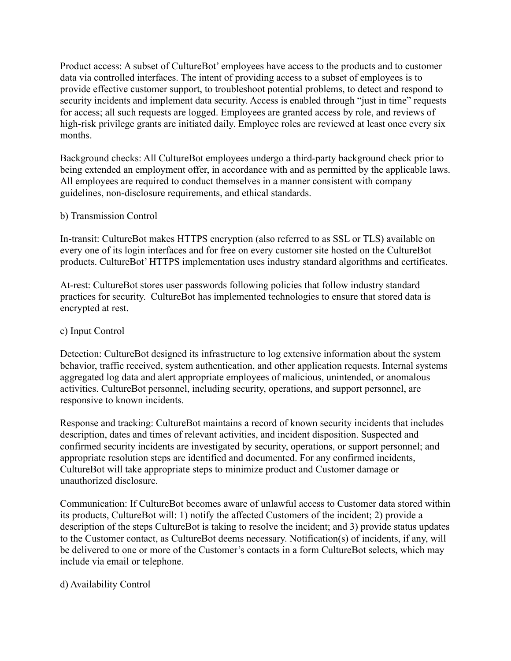Product access: A subset of CultureBot' employees have access to the products and to customer data via controlled interfaces. The intent of providing access to a subset of employees is to provide effective customer support, to troubleshoot potential problems, to detect and respond to security incidents and implement data security. Access is enabled through "just in time" requests for access; all such requests are logged. Employees are granted access by role, and reviews of high-risk privilege grants are initiated daily. Employee roles are reviewed at least once every six months.

Background checks: All CultureBot employees undergo a third-party background check prior to being extended an employment offer, in accordance with and as permitted by the applicable laws. All employees are required to conduct themselves in a manner consistent with company guidelines, non-disclosure requirements, and ethical standards.

#### b) Transmission Control

In-transit: CultureBot makes HTTPS encryption (also referred to as SSL or TLS) available on every one of its login interfaces and for free on every customer site hosted on the CultureBot products. CultureBot' HTTPS implementation uses industry standard algorithms and certificates.

At-rest: CultureBot stores user passwords following policies that follow industry standard practices for security. CultureBot has implemented technologies to ensure that stored data is encrypted at rest.

### c) Input Control

Detection: CultureBot designed its infrastructure to log extensive information about the system behavior, traffic received, system authentication, and other application requests. Internal systems aggregated log data and alert appropriate employees of malicious, unintended, or anomalous activities. CultureBot personnel, including security, operations, and support personnel, are responsive to known incidents.

Response and tracking: CultureBot maintains a record of known security incidents that includes description, dates and times of relevant activities, and incident disposition. Suspected and confirmed security incidents are investigated by security, operations, or support personnel; and appropriate resolution steps are identified and documented. For any confirmed incidents, CultureBot will take appropriate steps to minimize product and Customer damage or unauthorized disclosure.

Communication: If CultureBot becomes aware of unlawful access to Customer data stored within its products, CultureBot will: 1) notify the affected Customers of the incident; 2) provide a description of the steps CultureBot is taking to resolve the incident; and 3) provide status updates to the Customer contact, as CultureBot deems necessary. Notification(s) of incidents, if any, will be delivered to one or more of the Customer's contacts in a form CultureBot selects, which may include via email or telephone.

#### d) Availability Control